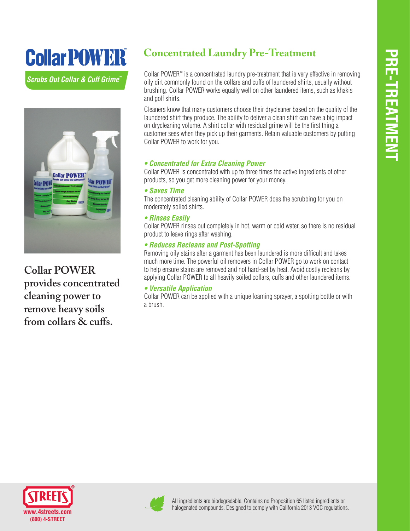# Collar POWER

*Scrubs Out Collar & Cuff Grime ™*



**Collar POWER provides concentrated cleaning power to remove heavy soils from collars & cuffs.**

## **Concentrated Laundry Pre-Treatment**

Collar POWER™ is a concentrated laundry pre-treatment that is very effective in removing oily dirt commonly found on the collars and cuffs of laundered shirts, usually without brushing. Collar POWER works equally well on other laundered items, such as khakis and golf shirts.

Cleaners know that many customers choose their drycleaner based on the quality of the laundered shirt they produce. The ability to deliver a clean shirt can have a big impact on drycleaning volume. A shirt collar with residual grime will be the first thing a customer sees when they pick up their garments. Retain valuable customers by putting Collar POWER to work for you.

#### **• Concentrated for Extra Cleaning Power**

Collar POWER is concentrated with up to three times the active ingredients of other products, so you get more cleaning power for your money.

#### **• Saves Time**

The concentrated cleaning ability of Collar POWER does the scrubbing for you on moderately soiled shirts.

#### **• Rinses Easily**

Collar POWER rinses out completely in hot, warm or cold water, so there is no residual product to leave rings after washing.

#### **• Reduces Recleans and Post-Spotting**

Removing oily stains after a garment has been laundered is more difficult and takes much more time. The powerful oil removers in Collar POWER go to work on contact to help ensure stains are removed and not hard-set by heat. Avoid costly recleans by applying Collar POWER to all heavily soiled collars, cuffs and other laundered items.

#### **• Versatile Application**

Collar POWER can be applied with a unique foaming sprayer, a spotting bottle or with a brush.